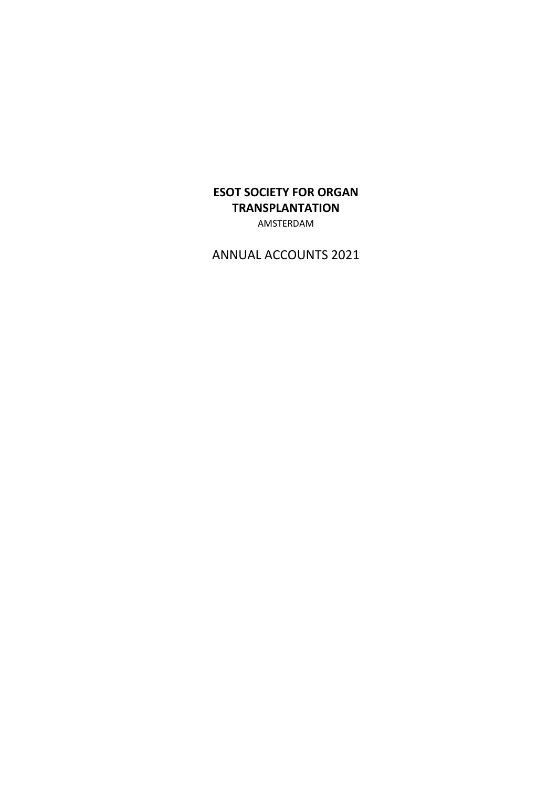# **ESOT SOCIETY FOR ORGAN TRANSPLANTATION**

AMSTERDAM

ANNUAL ACCOUNTS 2021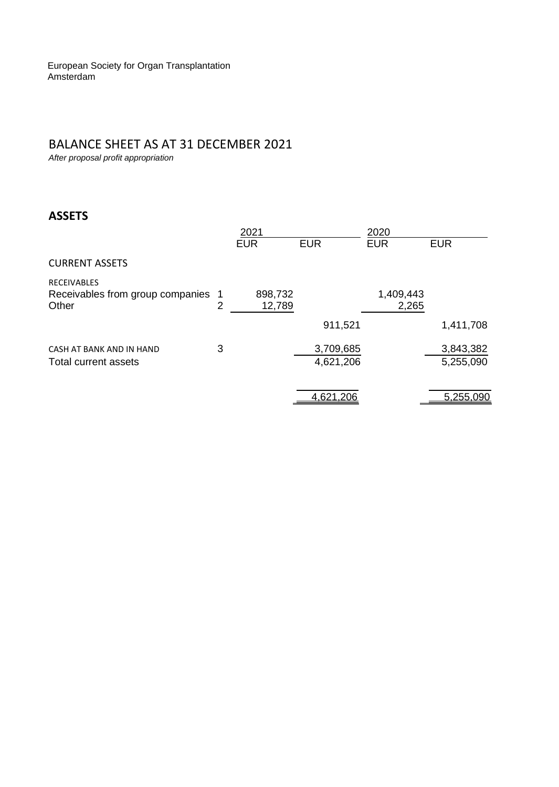# BALANCE SHEET AS AT 31 DECEMBER 2021

*After proposal profit appropriation*

# **ASSETS**

|                                                                 |   | 2021              |                        | 2020               |                        |
|-----------------------------------------------------------------|---|-------------------|------------------------|--------------------|------------------------|
|                                                                 |   | <b>EUR</b>        | <b>EUR</b>             | <b>EUR</b>         | <b>EUR</b>             |
| <b>CURRENT ASSETS</b>                                           |   |                   |                        |                    |                        |
| <b>RECEIVABLES</b><br>Receivables from group companies<br>Other | 2 | 898,732<br>12,789 |                        | 1,409,443<br>2,265 |                        |
|                                                                 |   |                   | 911,521                |                    | 1,411,708              |
| CASH AT BANK AND IN HAND<br>Total current assets                | 3 |                   | 3,709,685<br>4,621,206 |                    | 3,843,382<br>5,255,090 |
|                                                                 |   |                   | 4,621,206              |                    | 5,255,090              |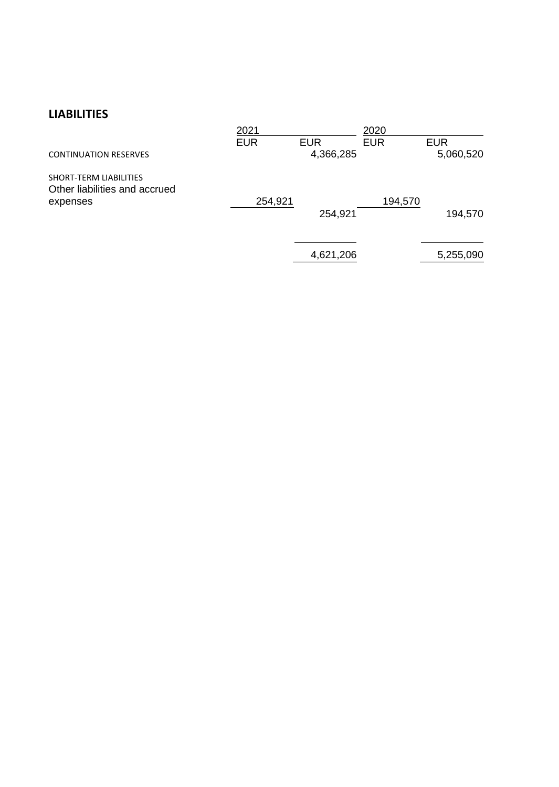# **LIABILITIES**

|                               | 2021       |            | 2020       |            |  |
|-------------------------------|------------|------------|------------|------------|--|
|                               | <b>EUR</b> | <b>EUR</b> | <b>EUR</b> | <b>EUR</b> |  |
| <b>CONTINUATION RESERVES</b>  |            | 4,366,285  |            | 5,060,520  |  |
| SHORT-TERM LIABILITIES        |            |            |            |            |  |
| Other liabilities and accrued | 254,921    |            | 194,570    |            |  |
| expenses                      |            | 254,921    |            | 194,570    |  |
|                               |            |            |            |            |  |
|                               |            | 4,621,206  |            | 5,255,090  |  |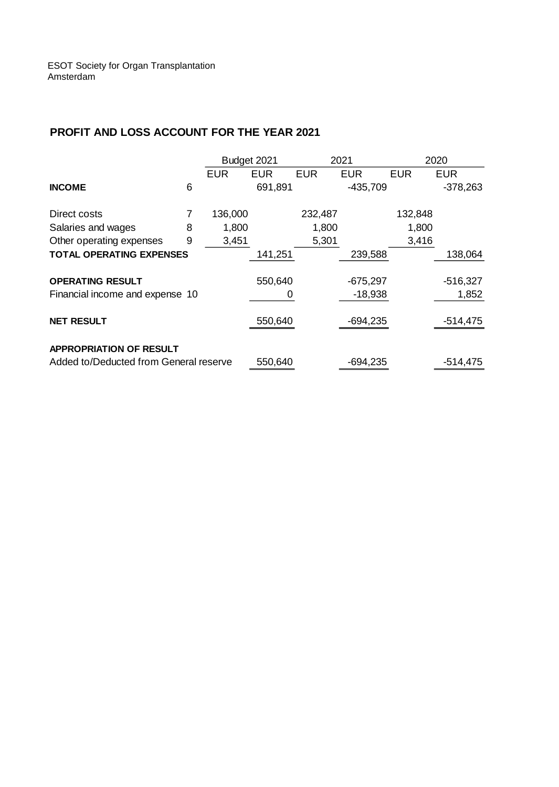ESOT Society for Organ Transplantation Amsterdam

## **PROFIT AND LOSS ACCOUNT FOR THE YEAR 2021**

|                                        |   | Budget 2021 |            | 2021       |            | 2020       |            |
|----------------------------------------|---|-------------|------------|------------|------------|------------|------------|
|                                        |   | <b>EUR</b>  | <b>EUR</b> | <b>EUR</b> | <b>EUR</b> | <b>EUR</b> | <b>EUR</b> |
| <b>INCOME</b>                          | 6 |             | 691,891    |            | $-435,709$ |            | $-378,263$ |
| Direct costs                           |   | 136,000     |            | 232,487    |            | 132,848    |            |
| Salaries and wages                     | 8 | 1,800       |            | 1,800      |            | 1,800      |            |
| Other operating expenses               | 9 | 3,451       |            | 5,301      |            | 3,416      |            |
| <b>TOTAL OPERATING EXPENSES</b>        |   |             | 141,251    |            | 239,588    |            | 138,064    |
| <b>OPERATING RESULT</b>                |   |             | 550,640    |            | $-675,297$ |            | $-516,327$ |
| Financial income and expense 10        |   |             |            |            | $-18,938$  |            | 1,852      |
| <b>NET RESULT</b>                      |   |             | 550,640    |            | $-694,235$ |            | $-514,475$ |
| <b>APPROPRIATION OF RESULT</b>         |   |             |            |            |            |            |            |
| Added to/Deducted from General reserve |   |             | 550,640    |            | $-694,235$ |            | $-514,475$ |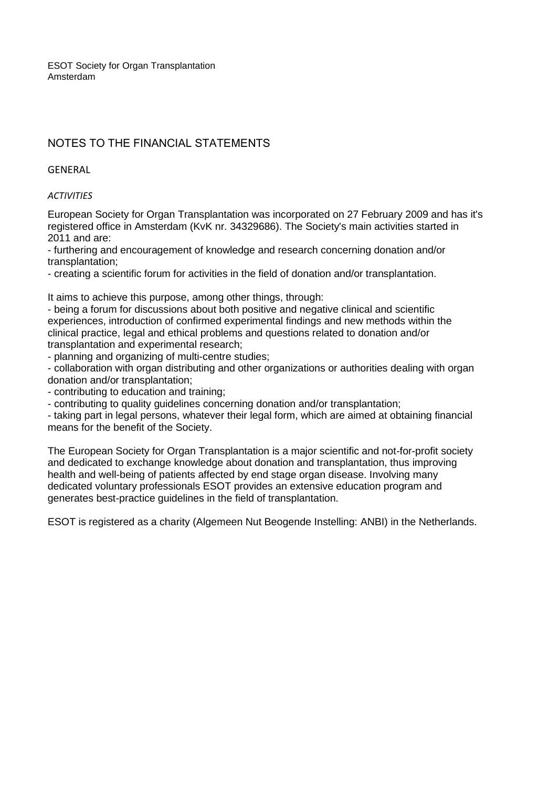ESOT Society for Organ Transplantation Amsterdam

## NOTES TO THE FINANCIAL STATEMENTS

## GENERAL

## *ACTIVITIES*

European Society for Organ Transplantation was incorporated on 27 February 2009 and has it's registered office in Amsterdam (KvK nr. 34329686). The Society's main activities started in 2011 and are:

- furthering and encouragement of knowledge and research concerning donation and/or transplantation;

- creating a scientific forum for activities in the field of donation and/or transplantation.

It aims to achieve this purpose, among other things, through:

- being a forum for discussions about both positive and negative clinical and scientific experiences, introduction of confirmed experimental findings and new methods within the clinical practice, legal and ethical problems and questions related to donation and/or transplantation and experimental research;

- planning and organizing of multi-centre studies;

- collaboration with organ distributing and other organizations or authorities dealing with organ donation and/or transplantation;

- contributing to education and training;

- contributing to quality guidelines concerning donation and/or transplantation;

- taking part in legal persons, whatever their legal form, which are aimed at obtaining financial means for the benefit of the Society.

The European Society for Organ Transplantation is a major scientific and not-for-profit society and dedicated to exchange knowledge about donation and transplantation, thus improving health and well-being of patients affected by end stage organ disease. Involving many dedicated voluntary professionals ESOT provides an extensive education program and generates best-practice guidelines in the field of transplantation.

ESOT is registered as a charity (Algemeen Nut Beogende Instelling: ANBI) in the Netherlands.